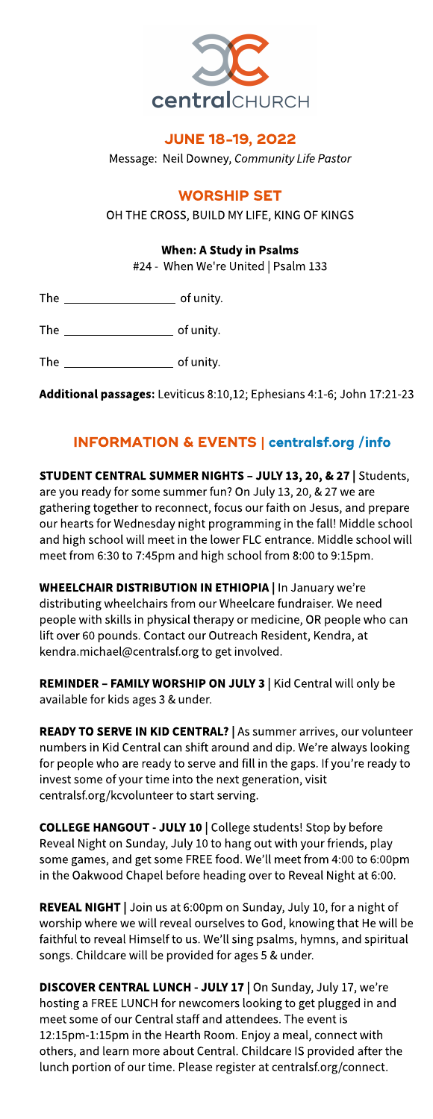

## **JUNE 18-19, 2022**

Message: Neil Downey, **CommunityLifePastor**

## **WORSHIP SET**

OH THE CROSS, BUILD MY LIFE, KING OF KINGS

## When: AStudy in Psalms

#24 - When We're United | Psalm 133

The of unity.

The of unity.

The  $\sqrt{ }$  of unity.

Additional passages: Leviticus 8:10,12; Ephesians 4:1-6; John 17:21-23

## INFORMATION& EVENTS| **[centralsf.org/info](http://centralsf.org/info)**

STUDENT CENTRAL SUMMER NIGHTS - JULY 13, 20, & 27 | Students, are you ready for some summer fun? On July 13, 20, & 27 we are gathering together to reconnect, focusour faith on Jesus, and prepare our hearts for Wednesday night programming in the fall! Middle school and high school will meet in the lower FLC entrance. Middle school will meet from 6:30 to 7:45pm and high school from 8:00 to 9:15pm.

**WHEELCHAIR DISTRIBUTION IN ETHIOPIA | In January we're** distributing wheelchairs from our Wheelcare fundraiser. We need people with skills in physical therapy or medicine, OR people who can lift over 60 pounds. Contact our Outreach Resident, Kendra, at kendra.michael@centralsf.org to get involved.

REMINDER - FAMILY WORSHIP ON JULY 3 | Kid Central will only be available for kids ages 3 & under.

READY TO SERVE IN KID CENTRAL? | As summer arrives, our volunteer numbers in Kid Central can shift around and dip. We're always looking for peoplewho are ready to serve and fill in the gaps. If you?re ready to invest some of your time into the next generation, visit centralsf.org/kcvolunteer to start serving.

COLLEGE HANGOUT - JULY 10 | College students! Stop by before Reveal Night on Sunday, July 10 to hang out with your friends, play some games, and get some FREE food. We'll meet from 4:00 to 6:00pm in the Oakwood Chapel before heading over to Reveal Night at 6:00.

REVEAL NIGHT | Join us at 6:00pm on Sunday, July 10, for a night of worship where we will reveal ourselves to God, knowing that He will be faithful to reveal Himself to us. We?ll sing psalms, hymns, and spiritual songs. Childcare will be provided for ages 5 & under.

DISCOVER CENTRAL LUNCH - JULY 17 | On Sunday, July 17, we're hosting a FREE LUNCH for newcomers looking to get plugged in and meet some of our Central staff and attendees. The event is 12:15pm-1:15pm in the Hearth Room. Enjoy a meal, connect with others, and learn more about Central. Childcare IS provided after the lunch portion of our time. Please register at centralsf.org/connect.